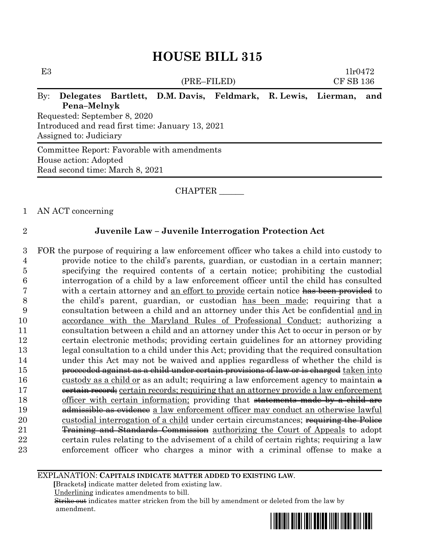| E3                                               |                                 |  |                                                              |  |  | 11r0472          |     |  |
|--------------------------------------------------|---------------------------------|--|--------------------------------------------------------------|--|--|------------------|-----|--|
|                                                  |                                 |  | (PRE–FILED)                                                  |  |  | <b>CF SB 136</b> |     |  |
| $\rm\,By:$                                       |                                 |  | Delegates Bartlett, D.M. Davis, Feldmark, R. Lewis, Lierman, |  |  |                  | and |  |
|                                                  | Pena-Melnyk                     |  |                                                              |  |  |                  |     |  |
|                                                  | Requested: September 8, 2020    |  |                                                              |  |  |                  |     |  |
| Introduced and read first time: January 13, 2021 |                                 |  |                                                              |  |  |                  |     |  |
|                                                  | Assigned to: Judiciary          |  |                                                              |  |  |                  |     |  |
|                                                  |                                 |  | Committee Report: Favorable with amendments                  |  |  |                  |     |  |
|                                                  | House action: Adopted           |  |                                                              |  |  |                  |     |  |
|                                                  | Read second time: March 8, 2021 |  |                                                              |  |  |                  |     |  |

### CHAPTER

#### 1 AN ACT concerning

### 2 **Juvenile Law – Juvenile Interrogation Protection Act**

 FOR the purpose of requiring a law enforcement officer who takes a child into custody to provide notice to the child's parents, guardian, or custodian in a certain manner; specifying the required contents of a certain notice; prohibiting the custodial interrogation of a child by a law enforcement officer until the child has consulted 7 with a certain attorney and an effort to provide certain notice has been provided to the child's parent, guardian, or custodian has been made; requiring that a consultation between a child and an attorney under this Act be confidential and in accordance with the Maryland Rules of Professional Conduct; authorizing a consultation between a child and an attorney under this Act to occur in person or by certain electronic methods; providing certain guidelines for an attorney providing legal consultation to a child under this Act; providing that the required consultation under this Act may not be waived and applies regardless of whether the child is **proceeded against as a child under certain provisions of law or is charged** taken into 16 custody as a child or as an adult; requiring a law enforcement agency to maintain  $\triangle$ 17 eertain record; certain records; requiring that an attorney provide a law enforcement 18 officer with certain information; providing that statements made by a child are **admissible as evidence** a law enforcement officer may conduct an otherwise lawful 20 custodial interrogation of a child under certain circumstances; requiring the Police 21 Training and Standards Commission authorizing the Court of Appeals to adopt certain rules relating to the advisement of a child of certain rights; requiring a law enforcement officer who charges a minor with a criminal offense to make a

#### EXPLANATION: **CAPITALS INDICATE MATTER ADDED TO EXISTING LAW**.

 **[**Brackets**]** indicate matter deleted from existing law.

Underlining indicates amendments to bill.

 Strike out indicates matter stricken from the bill by amendment or deleted from the law by amendment.

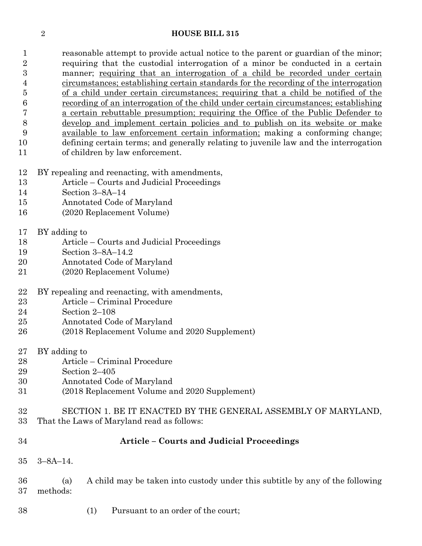reasonable attempt to provide actual notice to the parent or guardian of the minor; requiring that the custodial interrogation of a minor be conducted in a certain manner; requiring that an interrogation of a child be recorded under certain circumstances; establishing certain standards for the recording of the interrogation of a child under certain circumstances; requiring that a child be notified of the recording of an interrogation of the child under certain circumstances; establishing a certain rebuttable presumption; requiring the Office of the Public Defender to develop and implement certain policies and to publish on its website or make available to law enforcement certain information; making a conforming change; defining certain terms; and generally relating to juvenile law and the interrogation of children by law enforcement.

- BY repealing and reenacting, with amendments,
- Article Courts and Judicial Proceedings
- Section 3–8A–14
- Annotated Code of Maryland
- (2020 Replacement Volume)
- BY adding to
- Article Courts and Judicial Proceedings
- Section 3–8A–14.2
- Annotated Code of Maryland
- (2020 Replacement Volume)
- BY repealing and reenacting, with amendments,
- Article Criminal Procedure
- Section 2–108
- Annotated Code of Maryland
- (2018 Replacement Volume and 2020 Supplement)
- BY adding to
- Article Criminal Procedure
- Section 2–405
- Annotated Code of Maryland
- (2018 Replacement Volume and 2020 Supplement)

# SECTION 1. BE IT ENACTED BY THE GENERAL ASSEMBLY OF MARYLAND, That the Laws of Maryland read as follows:

- **Article – Courts and Judicial Proceedings** 3–8A–14. (a) A child may be taken into custody under this subtitle by any of the following methods:
- (1) Pursuant to an order of the court;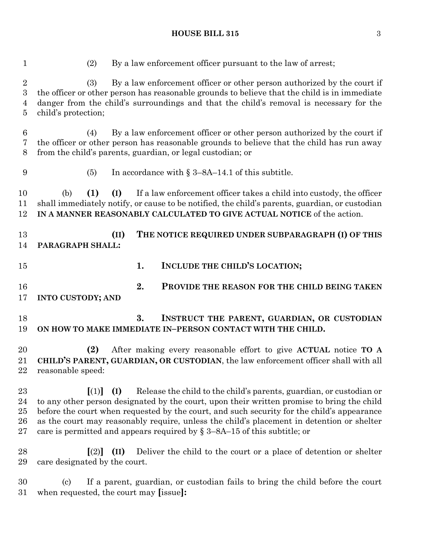(2) By a law enforcement officer pursuant to the law of arrest; (3) By a law enforcement officer or other person authorized by the court if the officer or other person has reasonable grounds to believe that the child is in immediate danger from the child's surroundings and that the child's removal is necessary for the child's protection; (4) By a law enforcement officer or other person authorized by the court if the officer or other person has reasonable grounds to believe that the child has run away from the child's parents, guardian, or legal custodian; or (5) In accordance with § 3–8A–14.1 of this subtitle. (b) **(1) (I)** If a law enforcement officer takes a child into custody, the officer shall immediately notify, or cause to be notified, the child's parents, guardian, or custodian **IN A MANNER REASONABLY CALCULATED TO GIVE ACTUAL NOTICE** of the action. **(II) THE NOTICE REQUIRED UNDER SUBPARAGRAPH (I) OF THIS PARAGRAPH SHALL: 1. INCLUDE THE CHILD'S LOCATION; 2. PROVIDE THE REASON FOR THE CHILD BEING TAKEN INTO CUSTODY; AND 3. INSTRUCT THE PARENT, GUARDIAN, OR CUSTODIAN ON HOW TO MAKE IMMEDIATE IN–PERSON CONTACT WITH THE CHILD. (2)** After making every reasonable effort to give **ACTUAL** notice **TO A CHILD'S PARENT, GUARDIAN, OR CUSTODIAN**, the law enforcement officer shall with all reasonable speed: **[**(1)**] (I)** Release the child to the child's parents, guardian, or custodian or to any other person designated by the court, upon their written promise to bring the child before the court when requested by the court, and such security for the child's appearance as the court may reasonably require, unless the child's placement in detention or shelter 27 care is permitted and appears required by  $\S 3-8A-15$  of this subtitle; or **[**(2)**] (II)** Deliver the child to the court or a place of detention or shelter care designated by the court. (c) If a parent, guardian, or custodian fails to bring the child before the court when requested, the court may **[**issue**]:**

#### **HOUSE BILL 315** 3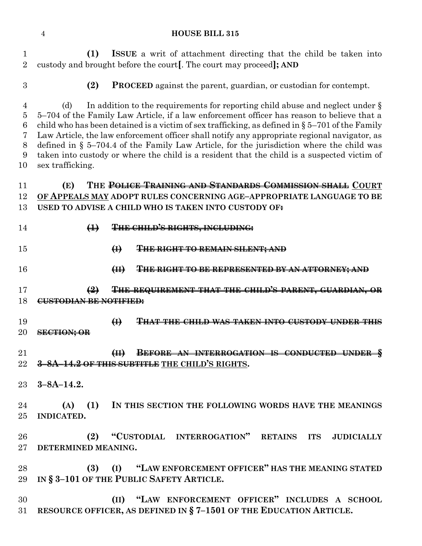**(1) ISSUE** a writ of attachment directing that the child be taken into custody and brought before the court**[**. The court may proceed**]; AND**

**(2) PROCEED** against the parent, guardian, or custodian for contempt.

 (d) In addition to the requirements for reporting child abuse and neglect under § 5–704 of the Family Law Article, if a law enforcement officer has reason to believe that a 6 child who has been detained is a victim of sex trafficking, as defined in  $\S 5-701$  of the Family Law Article, the law enforcement officer shall notify any appropriate regional navigator, as defined in § 5–704.4 of the Family Law Article, for the jurisdiction where the child was taken into custody or where the child is a resident that the child is a suspected victim of sex trafficking.

## **(E) THE POLICE TRAINING AND STANDARDS COMMISSION SHALL COURT OF APPEALS MAY ADOPT RULES CONCERNING AGE–APPROPRIATE LANGUAGE TO BE USED TO ADVISE A CHILD WHO IS TAKEN INTO CUSTODY OF:**

- **(1) THE CHILD'S RIGHTS, INCLUDING:**
- **(I) THE RIGHT TO REMAIN SILENT; AND**
- **(II) THE RIGHT TO BE REPRESENTED BY AN ATTORNEY; AND**
- **(2) THE REQUIREMENT THAT THE CHILD'S PARENT, GUARDIAN, OR CUSTODIAN BE NOTIFIED:**
- **(I) THAT THE CHILD WAS TAKEN INTO CUSTODY UNDER THIS SECTION; OR**
- **(II) BEFORE AN INTERROGATION IS CONDUCTED UNDER § 3–8A–14.2 OF THIS SUBTITLE THE CHILD'S RIGHTS.**
- **3–8A–14.2.**
- **(A) (1) IN THIS SECTION THE FOLLOWING WORDS HAVE THE MEANINGS INDICATED.**
- **(2) "CUSTODIAL INTERROGATION" RETAINS ITS JUDICIALLY DETERMINED MEANING.**
- **(3) (I) "LAW ENFORCEMENT OFFICER" HAS THE MEANING STATED IN § 3–101 OF THE PUBLIC SAFETY ARTICLE.**
- **(II) "LAW ENFORCEMENT OFFICER" INCLUDES A SCHOOL RESOURCE OFFICER, AS DEFINED IN § 7–1501 OF THE EDUCATION ARTICLE.**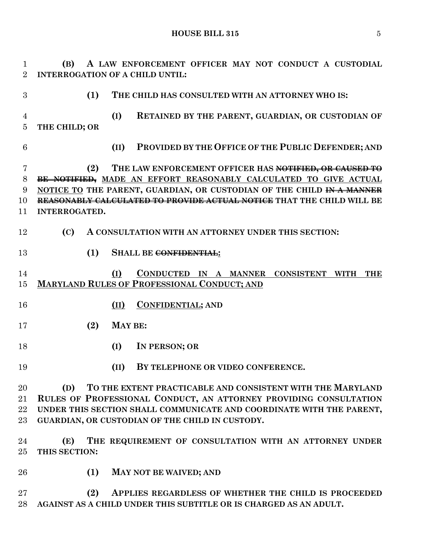**HOUSE BILL 315** 5

 **(B) A LAW ENFORCEMENT OFFICER MAY NOT CONDUCT A CUSTODIAL INTERROGATION OF A CHILD UNTIL: (1) THE CHILD HAS CONSULTED WITH AN ATTORNEY WHO IS: (I) RETAINED BY THE PARENT, GUARDIAN, OR CUSTODIAN OF THE CHILD; OR (II) PROVIDED BY THE OFFICE OF THE PUBLIC DEFENDER; AND (2) THE LAW ENFORCEMENT OFFICER HAS NOTIFIED, OR CAUSED TO BE NOTIFIED, MADE AN EFFORT REASONABLY CALCULATED TO GIVE ACTUAL NOTICE TO THE PARENT, GUARDIAN, OR CUSTODIAN OF THE CHILD IN A MANNER REASONABLY CALCULATED TO PROVIDE ACTUAL NOTICE THAT THE CHILD WILL BE INTERROGATED. (C) A CONSULTATION WITH AN ATTORNEY UNDER THIS SECTION: (1) SHALL BE CONFIDENTIAL: (I) CONDUCTED IN A MANNER CONSISTENT WITH THE MARYLAND RULES OF PROFESSIONAL CONDUCT; AND (II) CONFIDENTIAL; AND (2) MAY BE: (I) IN PERSON; OR (II) BY TELEPHONE OR VIDEO CONFERENCE. (D) TO THE EXTENT PRACTICABLE AND CONSISTENT WITH THE MARYLAND RULES OF PROFESSIONAL CONDUCT, AN ATTORNEY PROVIDING CONSULTATION UNDER THIS SECTION SHALL COMMUNICATE AND COORDINATE WITH THE PARENT, GUARDIAN, OR CUSTODIAN OF THE CHILD IN CUSTODY. (E) THE REQUIREMENT OF CONSULTATION WITH AN ATTORNEY UNDER THIS SECTION: (1) MAY NOT BE WAIVED; AND**

 **(2) APPLIES REGARDLESS OF WHETHER THE CHILD IS PROCEEDED AGAINST AS A CHILD UNDER THIS SUBTITLE OR IS CHARGED AS AN ADULT.**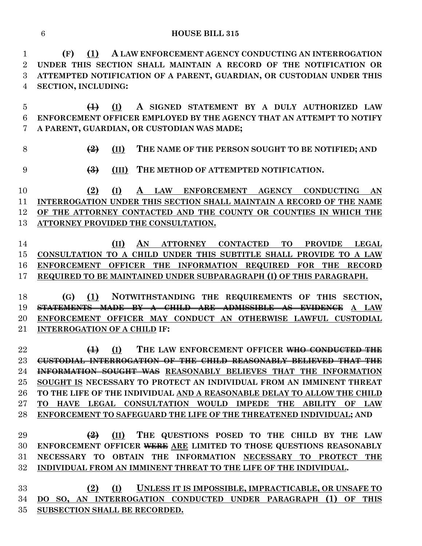**(F) (1) A LAW ENFORCEMENT AGENCY CONDUCTING AN INTERROGATION UNDER THIS SECTION SHALL MAINTAIN A RECORD OF THE NOTIFICATION OR ATTEMPTED NOTIFICATION OF A PARENT, GUARDIAN, OR CUSTODIAN UNDER THIS SECTION, INCLUDING:**

 **(1) (I) A SIGNED STATEMENT BY A DULY AUTHORIZED LAW ENFORCEMENT OFFICER EMPLOYED BY THE AGENCY THAT AN ATTEMPT TO NOTIFY A PARENT, GUARDIAN, OR CUSTODIAN WAS MADE;**

**(2) (II) THE NAME OF THE PERSON SOUGHT TO BE NOTIFIED; AND**

**(3) (iII) THE METHOD OF ATTEMPTED NOTIFICATION.** 

 **(2) (I) A LAW ENFORCEMENT AGENCY CONDUCTING AN INTERROGATION UNDER THIS SECTION SHALL MAINTAIN A RECORD OF THE NAME OF THE ATTORNEY CONTACTED AND THE COUNTY OR COUNTIES IN WHICH THE ATTORNEY PROVIDED THE CONSULTATION.**

 **(II) AN ATTORNEY CONTACTED TO PROVIDE LEGAL CONSULTATION TO A CHILD UNDER THIS SUBTITLE SHALL PROVIDE TO A LAW ENFORCEMENT OFFICER THE INFORMATION REQUIRED FOR THE RECORD REQUIRED TO BE MAINTAINED UNDER SUBPARAGRAPH (I) OF THIS PARAGRAPH.**

 **(G) (1) NOTWITHSTANDING THE REQUIREMENTS OF THIS SECTION, STATEMENTS MADE BY A CHILD ARE ADMISSIBLE AS EVIDENCE A LAW ENFORCEMENT OFFICER MAY CONDUCT AN OTHERWISE LAWFUL CUSTODIAL INTERROGATION OF A CHILD IF:**

 **(1) (I) THE LAW ENFORCEMENT OFFICER WHO CONDUCTED THE CUSTODIAL INTERROGATION OF THE CHILD REASONABLY BELIEVED THAT THE INFORMATION SOUGHT WAS REASONABLY BELIEVES THAT THE INFORMATION SOUGHT IS NECESSARY TO PROTECT AN INDIVIDUAL FROM AN IMMINENT THREAT TO THE LIFE OF THE INDIVIDUAL AND A REASONABLE DELAY TO ALLOW THE CHILD TO HAVE LEGAL CONSULTATION WOULD IMPEDE THE ABILITY OF LAW ENFORCEMENT TO SAFEGUARD THE LIFE OF THE THREATENED INDIVIDUAL; AND**

 **(2) (II) THE QUESTIONS POSED TO THE CHILD BY THE LAW ENFORCEMENT OFFICER WERE ARE LIMITED TO THOSE QUESTIONS REASONABLY NECESSARY TO OBTAIN THE INFORMATION NECESSARY TO PROTECT THE INDIVIDUAL FROM AN IMMINENT THREAT TO THE LIFE OF THE INDIVIDUAL.**

 **(2) (I) UNLESS IT IS IMPOSSIBLE, IMPRACTICABLE, OR UNSAFE TO DO SO, AN INTERROGATION CONDUCTED UNDER PARAGRAPH (1) OF THIS SUBSECTION SHALL BE RECORDED.**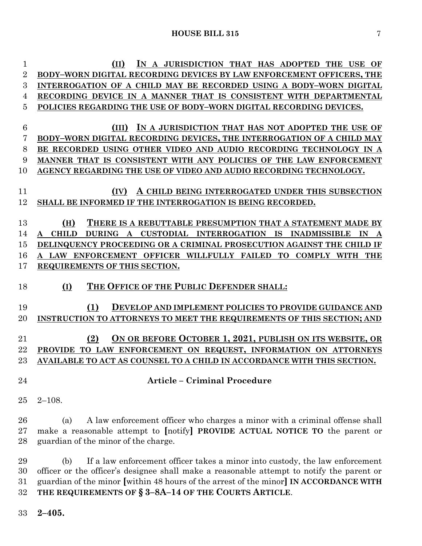| 1              | IN A JURISDICTION THAT HAS ADOPTED THE USE OF                                             |
|----------------|-------------------------------------------------------------------------------------------|
| $\overline{2}$ | BODY-WORN DIGITAL RECORDING DEVICES BY LAW ENFORCEMENT OFFICERS, THE                      |
| 3              | INTERROGATION OF A CHILD MAY BE RECORDED USING A BODY-WORN DIGITAL                        |
| 4              | RECORDING DEVICE IN A MANNER THAT IS CONSISTENT WITH DEPARTMENTAL                         |
| 5              | POLICIES REGARDING THE USE OF BODY-WORN DIGITAL RECORDING DEVICES.                        |
|                |                                                                                           |
| 6              | (III) IN A JURISDICTION THAT HAS NOT ADOPTED THE USE OF                                   |
| 7              | BODY-WORN DIGITAL RECORDING DEVICES, THE INTERROGATION OF A CHILD MAY                     |
| 8              | BE RECORDED USING OTHER VIDEO AND AUDIO RECORDING TECHNOLOGY IN A                         |
| 9              | MANNER THAT IS CONSISTENT WITH ANY POLICIES OF THE LAW ENFORCEMENT                        |
| 10             | AGENCY REGARDING THE USE OF VIDEO AND AUDIO RECORDING TECHNOLOGY.                         |
|                |                                                                                           |
| 11             | (IV)<br>A CHILD BEING INTERROGATED UNDER THIS SUBSECTION                                  |
| 12             | SHALL BE INFORMED IF THE INTERROGATION IS BEING RECORDED.                                 |
|                |                                                                                           |
| 13             | (H)<br>THERE IS A REBUTTABLE PRESUMPTION THAT A STATEMENT MADE BY                         |
| 14             | CUSTODIAL INTERROGATION IS INADMISSIBLE<br><b>CHILD</b><br>DURING A<br>IN<br>$\mathbf{A}$ |
| 15             | DELINQUENCY PROCEEDING OR A CRIMINAL PROSECUTION AGAINST THE CHILD IF                     |
| 16             | A LAW ENFORCEMENT OFFICER WILLFULLY FAILED TO COMPLY WITH THE                             |
| 17             | REQUIREMENTS OF THIS SECTION.                                                             |
| 18             | THE OFFICE OF THE PUBLIC DEFENDER SHALL:<br>(I)                                           |
|                |                                                                                           |
| 19             | (1)<br><b>DEVELOP AND IMPLEMENT POLICIES TO PROVIDE GUIDANCE AND</b>                      |
|                |                                                                                           |
| 20             | INSTRUCTION TO ATTORNEYS TO MEET THE REQUIREMENTS OF THIS SECTION; AND                    |
|                |                                                                                           |
| 21             | ON OR BEFORE OCTOBER 1, 2021, PUBLISH ON ITS WEBSITE, OR<br>(2)                           |
| 22             | PROVIDE TO LAW ENFORCEMENT ON REQUEST, INFORMATION ON ATTORNEYS                           |
| 23             | AVAILABLE TO ACT AS COUNSEL TO A CHILD IN ACCORDANCE WITH THIS SECTION.                   |
|                |                                                                                           |
| 24             | <b>Article - Criminal Procedure</b>                                                       |
|                |                                                                                           |
| 25             | $2 - 108.$                                                                                |
|                |                                                                                           |
| 26             | A law enforcement officer who charges a minor with a criminal offense shall<br>(a)        |
| 27             | make a reasonable attempt to [notify] <b>PROVIDE ACTUAL NOTICE TO</b> the parent or       |
| 28             | guardian of the minor of the charge.                                                      |
| 29             | If a law enforcement officer takes a minor into custody, the law enforcement<br>(b)       |
| 30             | officer or the officer's designee shall make a reasonable attempt to notify the parent or |

**THE REQUIREMENTS OF § 3–8A–14 OF THE COURTS ARTICLE**.

**2–405.**